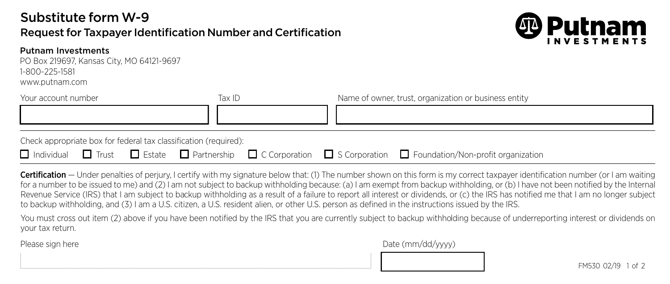## Substitute form W-9

## Request for Taxpayer Identification Number and Certification



PO Box 219697, Kansas City, MO 64121-9697 1-800-225-1581 1-800-225-1581

www.putnam.com www.putnam.com

| Your account number | lax IL | Name of owner, trust, organization or business entity |
|---------------------|--------|-------------------------------------------------------|
|                     |        |                                                       |
|                     |        |                                                       |

Check appropriate box for federal tax classification (required):

| $\Box$ Individual $\Box$ Trust $\Box$ Estate $\Box$ Partnership $\Box$ C Corporation $\Box$ S Corporation $\Box$ Foundation/Non-profit organization |
|-----------------------------------------------------------------------------------------------------------------------------------------------------|
|-----------------------------------------------------------------------------------------------------------------------------------------------------|

<u> 1980 - Johann Stein, marwolaethau a bhann an t-Amhain ann an t-Amhain an t-Amhain an t-Amhain an t-Amhain an </u>

Certification — Under penalties of perjury, I certify with my signature below that: (1) The number shown on this form is my correct taxpayer identification number (or I am waiting for a number to be issued to me) and (2) I am not subject to backup withholding because: (a) I am exempt from backup withholding, or (b) I have not been notified by the Internal Revenue Service (IRS) that I am subject to backup withholding as a result of a failure to report all interest or dividends, or (c) the IRS has notified me that I am no longer subject to backup withholding, and (3) I am a U.S. citizen, a U.S. resident alien, or other U.S. person as defined in the instructions issued by the IRS.

You must cross out item (2) above if you have been notified by the IRS that you are currently subject to backup withholding because of underreporting interest or dividends on your tax return.

Please sign here **Date (mm/dd/yyyy)** Please sign here **Date (mm/dd/yyyy)**